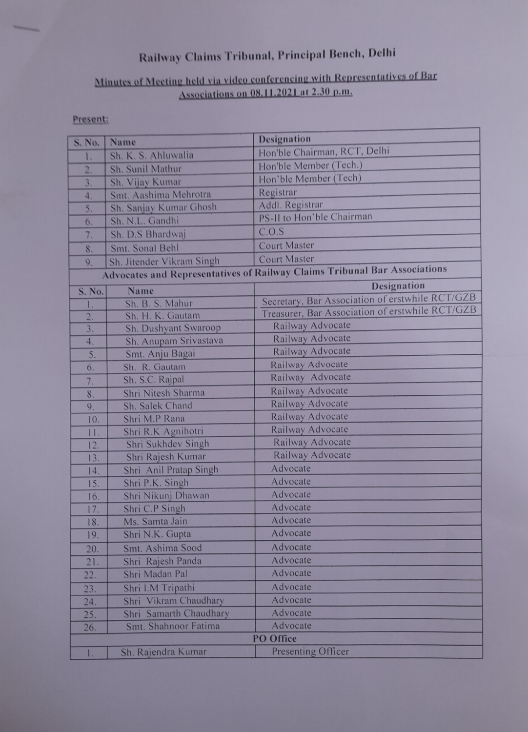## Railway Claims Tribunal, Principal Bench, Delhi

## Minutes of Meeting held via video conferencing with Representatives of Bar Associations on O8,LL2021 at 2.30 p.m.

## Present:

| S. No.                                                                    | Name                      | <b>Designation</b>                              |
|---------------------------------------------------------------------------|---------------------------|-------------------------------------------------|
| ι.                                                                        | Sh. K. S. Ahluwalia       | Hon'ble Chairman, RCT, Delhi                    |
| $\overline{2}$ ,                                                          | Sh. Sunil Mathur          | Hon'ble Member (Tech.)                          |
| 3.                                                                        | Sh. Vijay Kumar           | Hon'ble Member (Tech)                           |
| 4.                                                                        | Smt. Aashima Mehrotra     | Registrar                                       |
| 5.                                                                        | Sh. Sanjay Kumar Ghosh    | Addl. Registrar                                 |
| 6.                                                                        | Sh. N.L. Gandhi           | PS-II to Hon'ble Chairman                       |
| 7.                                                                        | Sh. D.S Bhardwaj          | C.O.S                                           |
| 8.                                                                        | Smt. Sonal Behl           | <b>Court Master</b>                             |
| 9.                                                                        | Sh. Jitender Vikram Singh | <b>Court Master</b>                             |
| Advocates and Representatives of Railway Claims Tribunal Bar Associations |                           |                                                 |
| S. No.                                                                    | Name                      | <b>Designation</b>                              |
| 1.                                                                        | Sh. B. S. Mahur           | Secretary, Bar Association of erstwhile RCT/GZB |
|                                                                           | Sh. H. K. Gautam          | Treasurer, Bar Association of erstwhile RCT/GZB |
| $\frac{2}{3}$ .                                                           | Sh. Dushyant Swaroop      | Railway Advocate                                |
| 4.                                                                        | Sh. Anupam Srivastava     | Railway Advocate                                |
| 5.                                                                        | Smt. Anju Bagai           | Railway Advocate                                |
| 6.                                                                        | Sh. R. Gautam             | Railway Advocate                                |
| 7.                                                                        | Sh. S.C. Rajpal           | Railway Advocate                                |
| 8.                                                                        | Shri Nitesh Sharma        | Railway Advocate                                |
| 9,                                                                        | Sh. Salek Chand           | Railway Advocate                                |
| 10.                                                                       | Shri M.P Rana             | Railway Advocate                                |
| 11.                                                                       | Shri R.K Agnihotri        | Railway Advocate                                |
| 12.                                                                       | Shri Sukhdev Singh        | Railway Advocate                                |
| 13.                                                                       | Shri Rajesh Kumar         | Railway Advocate                                |
| 14.                                                                       | Shri Anil Pratap Singh    | Advocate                                        |
| 15.                                                                       | Shri P.K. Singh           | Advocate                                        |
| 16.                                                                       | Shri Nikunj Dhawan        | Advocate                                        |
| 17.                                                                       | Shri C.P Singh            | Advocate                                        |
| 18.                                                                       | Ms. Samta Jain            | Advocate                                        |
| 19.                                                                       | Shri N.K. Gupta           | Advocate                                        |
| 20.                                                                       | Smt. Ashima Sood          | Advocate                                        |
| 21.                                                                       | Shri Rajesh Panda         | Advocate                                        |
| 22.                                                                       | Shri Madan Pal            | Advocate                                        |
| 23.                                                                       | Shri I.M Tripathi         | Advocate                                        |
| 24.                                                                       | Shri Vikram Chaudhary     | Advocate                                        |
| 25.                                                                       | Shri Samarth Chaudhary    | Advocate                                        |
| 26.                                                                       | Smt. Shahnoor Fatima      | Advocate                                        |
| <b>PO</b> Office                                                          |                           |                                                 |
| 1.                                                                        | Sh. Rajendra Kumar        | <b>Presenting Officer</b>                       |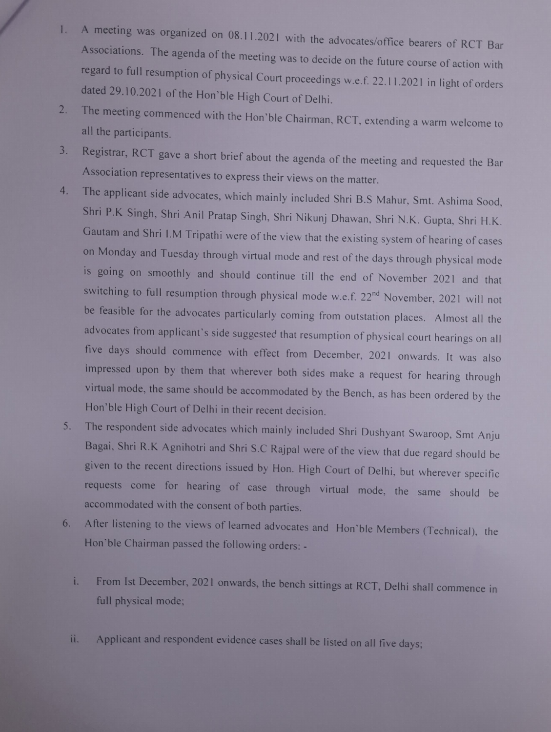- A meeting was organized on 08.11.2021 with the advocates/office bearers of RCT Bar<br>Associations. The agenda of the meeting was to decide on the future course of action with 1. regard to full resumption of physical Court proceedings w.e.f. 22.11.2021 in light of orders dated 29.10.2021 of the Hon'ble High Court of Delhi
- The meeting commenced with the Hon'ble Chairman, RCT, extending a warm welcome to  $2.$ all the participants.
- Registrar, RCT gave a short brief about the agenda of the meeting and requested the Bar 3. Association representatives to express their views on the matter.
- The applicant side advocates, which mainly included Shri B.S Mahur, Smt. Ashima Sood 4. Shri P.K Singh. Shri Anil Pratap Singh, Shri Nikunj Dhawan. Shri N.K. Gupta, Shri H.K. Gautam and Shri I.M Tripathi were of the view that the existing system of hearing of cases on Monday and Tuesday through virtual mode and rest of the days through physical mode is going on smoothly and should continue till the end of November 202l and that switching to full resumption through physical mode w.e.f. 22<sup>nd</sup> November, 2021 will not be feasible for the advocates particularly coming from outstation places. Almost all the advocates from applicant's side suggested that resumption of physical court hearings on all five days should commence with effect from December, 2021 onwards. It was also impressed upon by them that wherever both sides make a request for hearing through virtual mode, the same should be accommodated by the Bench, as has been ordered by the Hon'ble High Court of Delhi in their recent decision.
- The respondent side advocates which mainly included Shri Dushyant Swaroop, Smt Anju 5. Bagai, Shri R.K Agnihotri and Shri S.C Rajpal were of the view that due regard should be given to the recent directions issued by Hon. High Court of Delhi, but wherever specific requests come for hearing of case through virtual mode, the same should be accommodated with the consent of both parties.
- After listening to the views of learned advocates and Hon'ble Members (Technical), the 6. Hon'ble Chairman passed the following orders: -
	- From Ist December, 2021 onwards, the bench sittings at RCT, Delhi shall commence in i. full physical mode;
	- ii. Applicant and respondent evidence cases shall be listed on all five days;